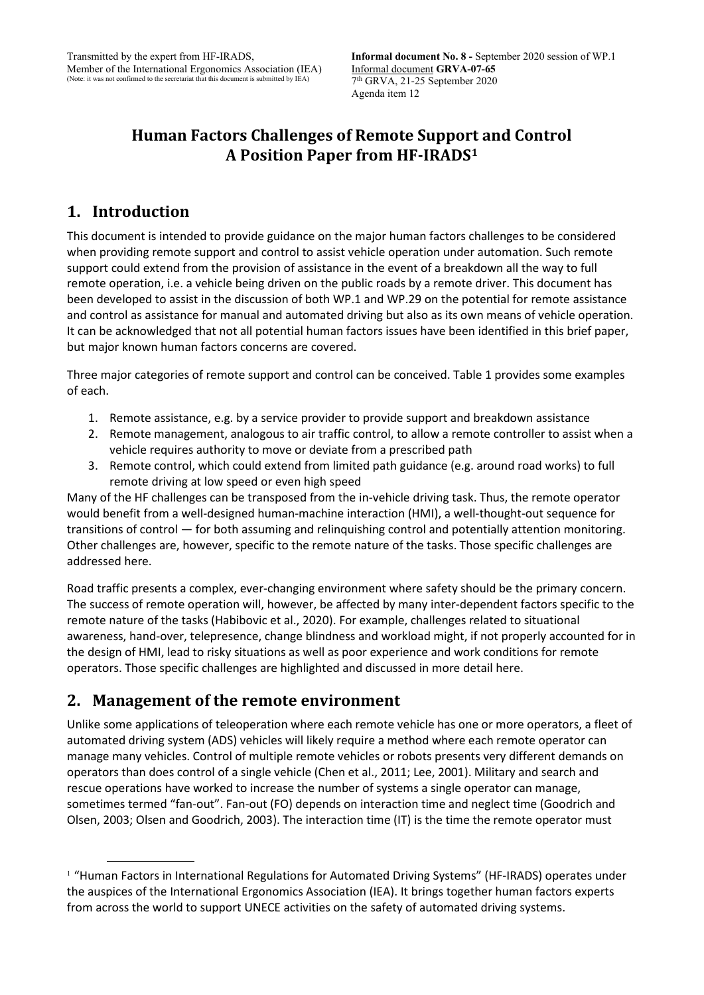### **Human Factors Challenges of Remote Support and Control A Position Paper from HF-IRADS[1](#page-0-0)**

### **1. Introduction**

This document is intended to provide guidance on the major human factors challenges to be considered when providing remote support and control to assist vehicle operation under automation. Such remote support could extend from the provision of assistance in the event of a breakdown all the way to full remote operation, i.e. a vehicle being driven on the public roads by a remote driver. This document has been developed to assist in the discussion of both WP.1 and WP.29 on the potential for remote assistance and control as assistance for manual and automated driving but also as its own means of vehicle operation. It can be acknowledged that not all potential human factors issues have been identified in this brief paper, but major known human factors concerns are covered.

Three major categories of remote support and control can be conceived. Table 1 provides some examples of each.

- 1. Remote assistance, e.g. by a service provider to provide support and breakdown assistance
- 2. Remote management, analogous to air traffic control, to allow a remote controller to assist when a vehicle requires authority to move or deviate from a prescribed path
- 3. Remote control, which could extend from limited path guidance (e.g. around road works) to full remote driving at low speed or even high speed

Many of the HF challenges can be transposed from the in-vehicle driving task. Thus, the remote operator would benefit from a well-designed human-machine interaction (HMI), a well-thought-out sequence for transitions of control — for both assuming and relinquishing control and potentially attention monitoring. Other challenges are, however, specific to the remote nature of the tasks. Those specific challenges are addressed here.

Road traffic presents a complex, ever-changing environment where safety should be the primary concern. The success of remote operation will, however, be affected by many inter-dependent factors specific to the remote nature of the tasks (Habibovic et al., 2020). For example, challenges related to situational awareness, hand-over, telepresence, change blindness and workload might, if not properly accounted for in the design of HMI, lead to risky situations as well as poor experience and work conditions for remote operators. Those specific challenges are highlighted and discussed in more detail here.

#### **2. Management of the remote environment**

Unlike some applications of teleoperation where each remote vehicle has one or more operators, a fleet of automated driving system (ADS) vehicles will likely require a method where each remote operator can manage many vehicles. Control of multiple remote vehicles or robots presents very different demands on operators than does control of a single vehicle (Chen et al., 2011; Lee, 2001). Military and search and rescue operations have worked to increase the number of systems a single operator can manage, sometimes termed "fan-out". Fan-out (FO) depends on interaction time and neglect time (Goodrich and Olsen, 2003; Olsen and Goodrich, 2003). The interaction time (IT) is the time the remote operator must

<span id="page-0-0"></span><sup>&</sup>lt;sup>1</sup> "Human Factors in International Regulations for Automated Driving Systems" (HF-IRADS) operates under the auspices of the International Ergonomics Association (IEA). It brings together human factors experts from across the world to support UNECE activities on the safety of automated driving systems.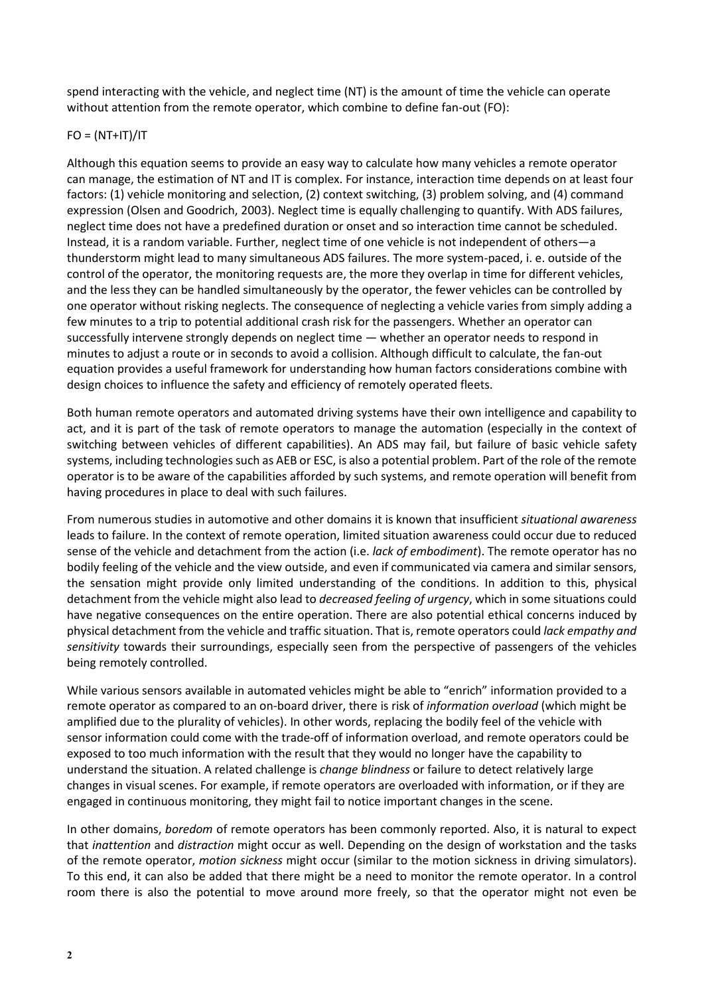spend interacting with the vehicle, and neglect time (NT) is the amount of time the vehicle can operate without attention from the remote operator, which combine to define fan-out (FO):

#### $FO = (NT+IT)/IT$

Although this equation seems to provide an easy way to calculate how many vehicles a remote operator can manage, the estimation of NT and IT is complex. For instance, interaction time depends on at least four factors: (1) vehicle monitoring and selection, (2) context switching, (3) problem solving, and (4) command expression (Olsen and Goodrich, 2003). Neglect time is equally challenging to quantify. With ADS failures, neglect time does not have a predefined duration or onset and so interaction time cannot be scheduled. Instead, it is a random variable. Further, neglect time of one vehicle is not independent of others—a thunderstorm might lead to many simultaneous ADS failures. The more system-paced, i. e. outside of the control of the operator, the monitoring requests are, the more they overlap in time for different vehicles, and the less they can be handled simultaneously by the operator, the fewer vehicles can be controlled by one operator without risking neglects. The consequence of neglecting a vehicle varies from simply adding a few minutes to a trip to potential additional crash risk for the passengers. Whether an operator can successfully intervene strongly depends on neglect time — whether an operator needs to respond in minutes to adjust a route or in seconds to avoid a collision. Although difficult to calculate, the fan-out equation provides a useful framework for understanding how human factors considerations combine with design choices to influence the safety and efficiency of remotely operated fleets.

Both human remote operators and automated driving systems have their own intelligence and capability to act, and it is part of the task of remote operators to manage the automation (especially in the context of switching between vehicles of different capabilities). An ADS may fail, but failure of basic vehicle safety systems, including technologies such as AEB or ESC, is also a potential problem. Part of the role of the remote operator is to be aware of the capabilities afforded by such systems, and remote operation will benefit from having procedures in place to deal with such failures.

From numerous studies in automotive and other domains it is known that insufficient *situational awareness*  leads to failure. In the context of remote operation, limited situation awareness could occur due to reduced sense of the vehicle and detachment from the action (i.e. *lack of embodiment*). The remote operator has no bodily feeling of the vehicle and the view outside, and even if communicated via camera and similar sensors, the sensation might provide only limited understanding of the conditions. In addition to this, physical detachment from the vehicle might also lead to *decreased feeling of urgency*, which in some situations could have negative consequences on the entire operation. There are also potential ethical concerns induced by physical detachment from the vehicle and traffic situation. That is, remote operators could *lack empathy and sensitivity* towards their surroundings, especially seen from the perspective of passengers of the vehicles being remotely controlled.

While various sensors available in automated vehicles might be able to "enrich" information provided to a remote operator as compared to an on-board driver, there is risk of *information overload* (which might be amplified due to the plurality of vehicles). In other words, replacing the bodily feel of the vehicle with sensor information could come with the trade-off of information overload, and remote operators could be exposed to too much information with the result that they would no longer have the capability to understand the situation. A related challenge is *change blindness* or failure to detect relatively large changes in visual scenes. For example, if remote operators are overloaded with information, or if they are engaged in continuous monitoring, they might fail to notice important changes in the scene.

In other domains, *boredom* of remote operators has been commonly reported. Also, it is natural to expect that *inattention* and *distraction* might occur as well. Depending on the design of workstation and the tasks of the remote operator, *motion sickness* might occur (similar to the motion sickness in driving simulators). To this end, it can also be added that there might be a need to monitor the remote operator. In a control room there is also the potential to move around more freely, so that the operator might not even be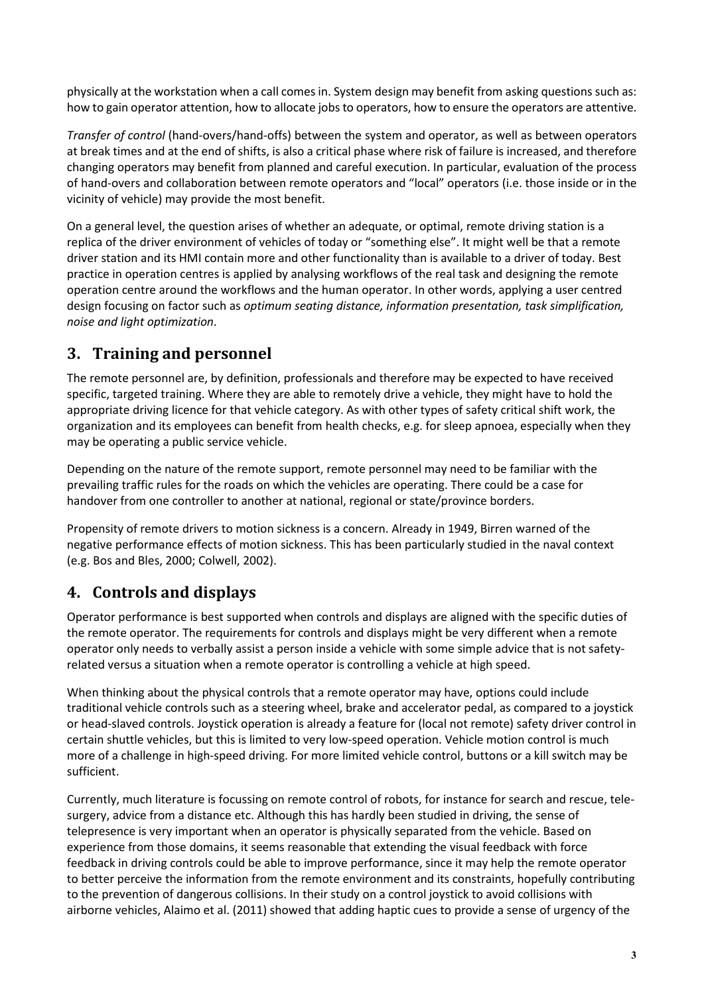physically at the workstation when a call comes in. System design may benefit from asking questions such as: how to gain operator attention, how to allocate jobs to operators, how to ensure the operators are attentive.

*Transfer of control* (hand-overs/hand-offs) between the system and operator, as well as between operators at break times and at the end of shifts, is also a critical phase where risk of failure is increased, and therefore changing operators may benefit from planned and careful execution. In particular, evaluation of the process of hand-overs and collaboration between remote operators and "local" operators (i.e. those inside or in the vicinity of vehicle) may provide the most benefit.

On a general level, the question arises of whether an adequate, or optimal, remote driving station is a replica of the driver environment of vehicles of today or "something else". It might well be that a remote driver station and its HMI contain more and other functionality than is available to a driver of today. Best practice in operation centres is applied by analysing workflows of the real task and designing the remote operation centre around the workflows and the human operator. In other words, applying a user centred design focusing on factor such as *optimum seating distance, information presentation, task simplification, noise and light optimization*.

## **3. Training and personnel**

The remote personnel are, by definition, professionals and therefore may be expected to have received specific, targeted training. Where they are able to remotely drive a vehicle, they might have to hold the appropriate driving licence for that vehicle category. As with other types of safety critical shift work, the organization and its employees can benefit from health checks, e.g. for sleep apnoea, especially when they may be operating a public service vehicle.

Depending on the nature of the remote support, remote personnel may need to be familiar with the prevailing traffic rules for the roads on which the vehicles are operating. There could be a case for handover from one controller to another at national, regional or state/province borders.

Propensity of remote drivers to motion sickness is a concern. Already in 1949, Birren warned of the negative performance effects of motion sickness. This has been particularly studied in the naval context (e.g. Bos and Bles, 2000; Colwell, 2002).

## **4. Controls and displays**

Operator performance is best supported when controls and displays are aligned with the specific duties of the remote operator. The requirements for controls and displays might be very different when a remote operator only needs to verbally assist a person inside a vehicle with some simple advice that is not safetyrelated versus a situation when a remote operator is controlling a vehicle at high speed.

When thinking about the physical controls that a remote operator may have, options could include traditional vehicle controls such as a steering wheel, brake and accelerator pedal, as compared to a joystick or head-slaved controls. Joystick operation is already a feature for (local not remote) safety driver control in certain shuttle vehicles, but this is limited to very low-speed operation. Vehicle motion control is much more of a challenge in high-speed driving. For more limited vehicle control, buttons or a kill switch may be sufficient.

Currently, much literature is focussing on remote control of robots, for instance for search and rescue, telesurgery, advice from a distance etc. Although this has hardly been studied in driving, the sense of telepresence is very important when an operator is physically separated from the vehicle. Based on experience from those domains, it seems reasonable that extending the visual feedback with force feedback in driving controls could be able to improve performance, since it may help the remote operator to better perceive the information from the remote environment and its constraints, hopefully contributing to the prevention of dangerous collisions. In their study on a control joystick to avoid collisions with airborne vehicles, Alaimo et al. (2011) showed that adding haptic cues to provide a sense of urgency of the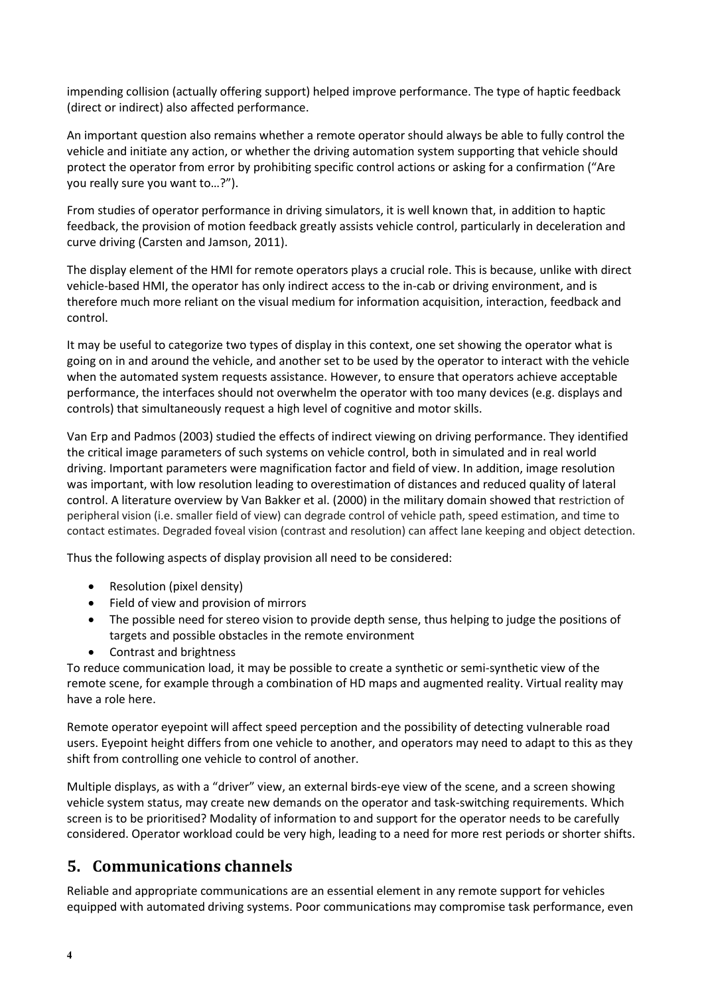impending collision (actually offering support) helped improve performance. The type of haptic feedback (direct or indirect) also affected performance.

An important question also remains whether a remote operator should always be able to fully control the vehicle and initiate any action, or whether the driving automation system supporting that vehicle should protect the operator from error by prohibiting specific control actions or asking for a confirmation ("Are you really sure you want to…?").

From studies of operator performance in driving simulators, it is well known that, in addition to haptic feedback, the provision of motion feedback greatly assists vehicle control, particularly in deceleration and curve driving (Carsten and Jamson, 2011).

The display element of the HMI for remote operators plays a crucial role. This is because, unlike with direct vehicle-based HMI, the operator has only indirect access to the in-cab or driving environment, and is therefore much more reliant on the visual medium for information acquisition, interaction, feedback and control.

It may be useful to categorize two types of display in this context, one set showing the operator what is going on in and around the vehicle, and another set to be used by the operator to interact with the vehicle when the automated system requests assistance. However, to ensure that operators achieve acceptable performance, the interfaces should not overwhelm the operator with too many devices (e.g. displays and controls) that simultaneously request a high level of cognitive and motor skills.

Van Erp and Padmos (2003) studied the effects of indirect viewing on driving performance. They identified the critical image parameters of such systems on vehicle control, both in simulated and in real world driving. Important parameters were magnification factor and field of view. In addition, image resolution was important, with low resolution leading to overestimation of distances and reduced quality of lateral control. A literature overview by Van Bakker et al. (2000) in the military domain showed that restriction of peripheral vision (i.e. smaller field of view) can degrade control of vehicle path, speed estimation, and time to contact estimates. Degraded foveal vision (contrast and resolution) can affect lane keeping and object detection.

Thus the following aspects of display provision all need to be considered:

- Resolution (pixel density)
- Field of view and provision of mirrors
- The possible need for stereo vision to provide depth sense, thus helping to judge the positions of targets and possible obstacles in the remote environment
- Contrast and brightness

To reduce communication load, it may be possible to create a synthetic or semi-synthetic view of the remote scene, for example through a combination of HD maps and augmented reality. Virtual reality may have a role here.

Remote operator eyepoint will affect speed perception and the possibility of detecting vulnerable road users. Eyepoint height differs from one vehicle to another, and operators may need to adapt to this as they shift from controlling one vehicle to control of another.

Multiple displays, as with a "driver" view, an external birds-eye view of the scene, and a screen showing vehicle system status, may create new demands on the operator and task-switching requirements. Which screen is to be prioritised? Modality of information to and support for the operator needs to be carefully considered. Operator workload could be very high, leading to a need for more rest periods or shorter shifts.

#### **5. Communications channels**

Reliable and appropriate communications are an essential element in any remote support for vehicles equipped with automated driving systems. Poor communications may compromise task performance, even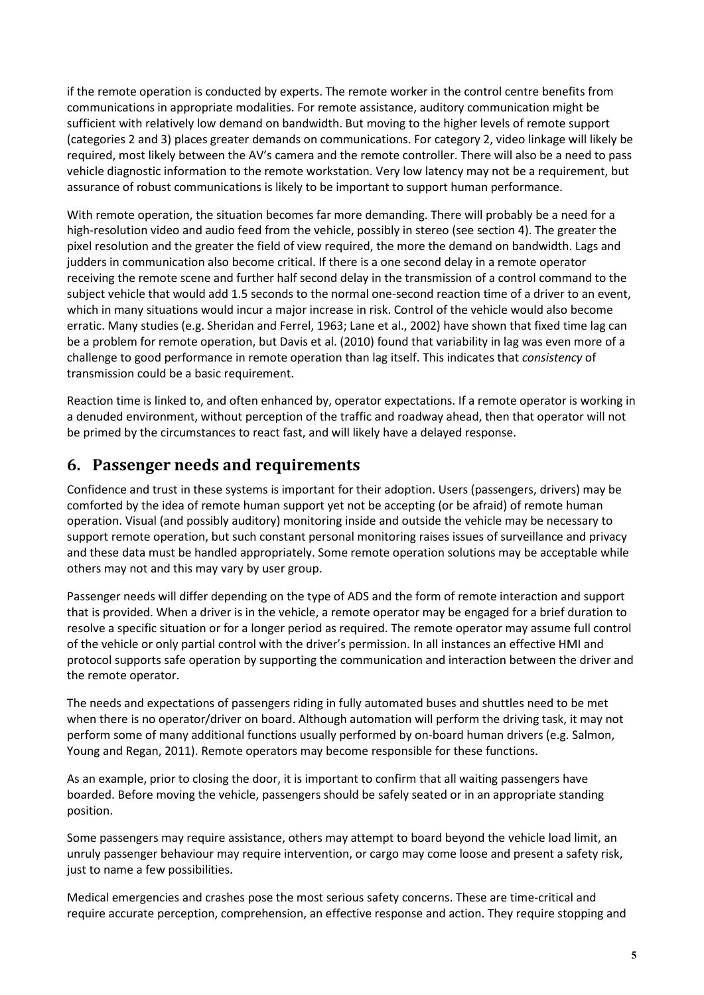if the remote operation is conducted by experts. The remote worker in the control centre benefits from communications in appropriate modalities. For remote assistance, auditory communication might be sufficient with relatively low demand on bandwidth. But moving to the higher levels of remote support (categories 2 and 3) places greater demands on communications. For category 2, video linkage will likely be required, most likely between the AV's camera and the remote controller. There will also be a need to pass vehicle diagnostic information to the remote workstation. Very low latency may not be a requirement, but assurance of robust communications is likely to be important to support human performance.

With remote operation, the situation becomes far more demanding. There will probably be a need for a high-resolution video and audio feed from the vehicle, possibly in stereo (see section 4). The greater the pixel resolution and the greater the field of view required, the more the demand on bandwidth. Lags and judders in communication also become critical. If there is a one second delay in a remote operator receiving the remote scene and further half second delay in the transmission of a control command to the subject vehicle that would add 1.5 seconds to the normal one-second reaction time of a driver to an event, which in many situations would incur a major increase in risk. Control of the vehicle would also become erratic. Many studies (e.g. Sheridan and Ferrel, 1963; Lane et al., 2002) have shown that fixed time lag can be a problem for remote operation, but Davis et al. (2010) found that variability in lag was even more of a challenge to good performance in remote operation than lag itself. This indicates that *consistency* of transmission could be a basic requirement.

Reaction time is linked to, and often enhanced by, operator expectations. If a remote operator is working in a denuded environment, without perception of the traffic and roadway ahead, then that operator will not be primed by the circumstances to react fast, and will likely have a delayed response.

#### **6. Passenger needs and requirements**

Confidence and trust in these systems is important for their adoption. Users (passengers, drivers) may be comforted by the idea of remote human support yet not be accepting (or be afraid) of remote human operation. Visual (and possibly auditory) monitoring inside and outside the vehicle may be necessary to support remote operation, but such constant personal monitoring raises issues of surveillance and privacy and these data must be handled appropriately. Some remote operation solutions may be acceptable while others may not and this may vary by user group.

Passenger needs will differ depending on the type of ADS and the form of remote interaction and support that is provided. When a driver is in the vehicle, a remote operator may be engaged for a brief duration to resolve a specific situation or for a longer period as required. The remote operator may assume full control of the vehicle or only partial control with the driver's permission. In all instances an effective HMI and protocol supports safe operation by supporting the communication and interaction between the driver and the remote operator.

The needs and expectations of passengers riding in fully automated buses and shuttles need to be met when there is no operator/driver on board. Although automation will perform the driving task, it may not perform some of many additional functions usually performed by on-board human drivers (e.g. Salmon, Young and Regan, 2011). Remote operators may become responsible for these functions.

As an example, prior to closing the door, it is important to confirm that all waiting passengers have boarded. Before moving the vehicle, passengers should be safely seated or in an appropriate standing position.

Some passengers may require assistance, others may attempt to board beyond the vehicle load limit, an unruly passenger behaviour may require intervention, or cargo may come loose and present a safety risk, just to name a few possibilities.

Medical emergencies and crashes pose the most serious safety concerns. These are time-critical and require accurate perception, comprehension, an effective response and action. They require stopping and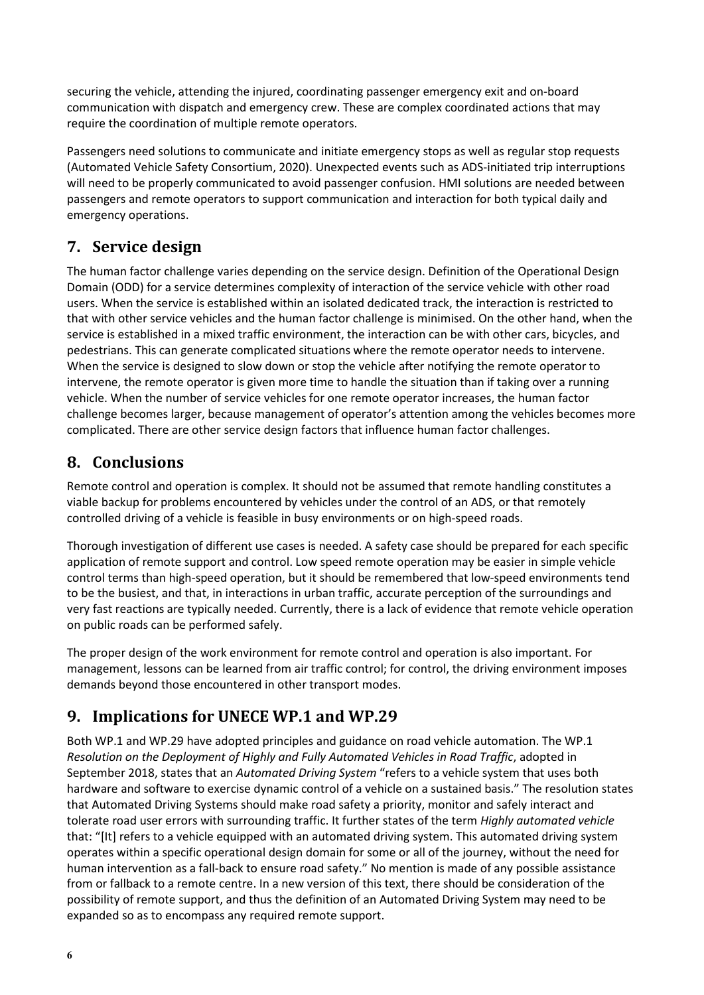securing the vehicle, attending the injured, coordinating passenger emergency exit and on-board communication with dispatch and emergency crew. These are complex coordinated actions that may require the coordination of multiple remote operators.

Passengers need solutions to communicate and initiate emergency stops as well as regular stop requests (Automated Vehicle Safety Consortium, 2020). Unexpected events such as ADS-initiated trip interruptions will need to be properly communicated to avoid passenger confusion. HMI solutions are needed between passengers and remote operators to support communication and interaction for both typical daily and emergency operations.

### **7. Service design**

The human factor challenge varies depending on the service design. Definition of the Operational Design Domain (ODD) for a service determines complexity of interaction of the service vehicle with other road users. When the service is established within an isolated dedicated track, the interaction is restricted to that with other service vehicles and the human factor challenge is minimised. On the other hand, when the service is established in a mixed traffic environment, the interaction can be with other cars, bicycles, and pedestrians. This can generate complicated situations where the remote operator needs to intervene. When the service is designed to slow down or stop the vehicle after notifying the remote operator to intervene, the remote operator is given more time to handle the situation than if taking over a running vehicle. When the number of service vehicles for one remote operator increases, the human factor challenge becomes larger, because management of operator's attention among the vehicles becomes more complicated. There are other service design factors that influence human factor challenges.

### **8. Conclusions**

Remote control and operation is complex. It should not be assumed that remote handling constitutes a viable backup for problems encountered by vehicles under the control of an ADS, or that remotely controlled driving of a vehicle is feasible in busy environments or on high-speed roads.

Thorough investigation of different use cases is needed. A safety case should be prepared for each specific application of remote support and control. Low speed remote operation may be easier in simple vehicle control terms than high-speed operation, but it should be remembered that low-speed environments tend to be the busiest, and that, in interactions in urban traffic, accurate perception of the surroundings and very fast reactions are typically needed. Currently, there is a lack of evidence that remote vehicle operation on public roads can be performed safely.

The proper design of the work environment for remote control and operation is also important. For management, lessons can be learned from air traffic control; for control, the driving environment imposes demands beyond those encountered in other transport modes.

# **9. Implications for UNECE WP.1 and WP.29**

Both WP.1 and WP.29 have adopted principles and guidance on road vehicle automation. The WP.1 *Resolution on the Deployment of Highly and Fully Automated Vehicles in Road Traffic*, adopted in September 2018, states that an *Automated Driving System* "refers to a vehicle system that uses both hardware and software to exercise dynamic control of a vehicle on a sustained basis." The resolution states that Automated Driving Systems should make road safety a priority, monitor and safely interact and tolerate road user errors with surrounding traffic. It further states of the term *Highly automated vehicle* that: "[It] refers to a vehicle equipped with an automated driving system. This automated driving system operates within a specific operational design domain for some or all of the journey, without the need for human intervention as a fall-back to ensure road safety." No mention is made of any possible assistance from or fallback to a remote centre. In a new version of this text, there should be consideration of the possibility of remote support, and thus the definition of an Automated Driving System may need to be expanded so as to encompass any required remote support.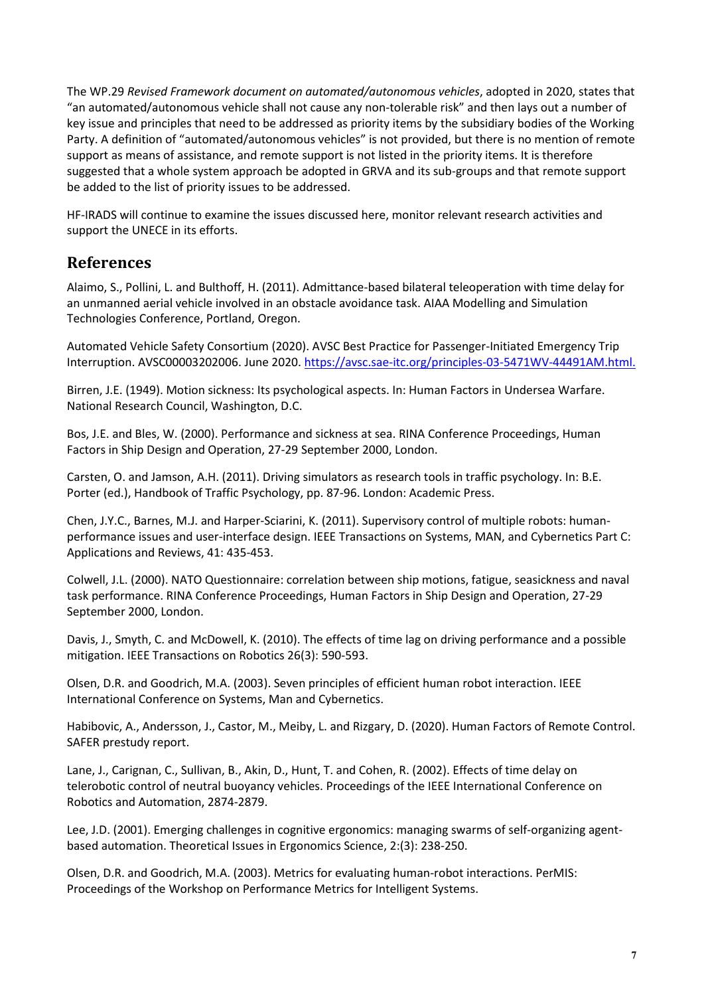The WP.29 *Revised Framework document on automated/autonomous vehicles*, adopted in 2020, states that "an automated/autonomous vehicle shall not cause any non-tolerable risk" and then lays out a number of key issue and principles that need to be addressed as priority items by the subsidiary bodies of the Working Party. A definition of "automated/autonomous vehicles" is not provided, but there is no mention of remote support as means of assistance, and remote support is not listed in the priority items. It is therefore suggested that a whole system approach be adopted in GRVA and its sub-groups and that remote support be added to the list of priority issues to be addressed.

HF-IRADS will continue to examine the issues discussed here, monitor relevant research activities and support the UNECE in its efforts.

#### **References**

Alaimo, S., Pollini, L. and Bulthoff, H. (2011). Admittance-based bilateral teleoperation with time delay for an unmanned aerial vehicle involved in an obstacle avoidance task. AIAA Modelling and Simulation Technologies Conference, Portland, Oregon.

Automated Vehicle Safety Consortium (2020). AVSC Best Practice for Passenger-Initiated Emergency Trip Interruption. AVSC00003202006. June 2020. [https://avsc.sae-itc.org/principles-03-5471WV-44491AM.html.](https://avsc.sae-itc.org/principles-03-5471WV-44491AM.html)

Birren, J.E. (1949). Motion sickness: Its psychological aspects. In: Human Factors in Undersea Warfare. National Research Council, Washington, D.C.

Bos, J.E. and Bles, W. (2000). Performance and sickness at sea. RINA Conference Proceedings, Human Factors in Ship Design and Operation, 27-29 September 2000, London.

Carsten, O. and Jamson, A.H. (2011). Driving simulators as research tools in traffic psychology. In: B.E. Porter (ed.), Handbook of Traffic Psychology, pp. 87-96. London: Academic Press.

Chen, J.Y.C., Barnes, M.J. and Harper-Sciarini, K. (2011). Supervisory control of multiple robots: humanperformance issues and user-interface design. IEEE Transactions on Systems, MAN, and Cybernetics Part C: Applications and Reviews, 41: 435-453.

Colwell, J.L. (2000). NATO Questionnaire: correlation between ship motions, fatigue, seasickness and naval task performance. RINA Conference Proceedings, Human Factors in Ship Design and Operation, 27-29 September 2000, London.

Davis, J., Smyth, C. and McDowell, K. (2010). The effects of time lag on driving performance and a possible mitigation. IEEE Transactions on Robotics 26(3): 590-593.

Olsen, D.R. and Goodrich, M.A. (2003). Seven principles of efficient human robot interaction. IEEE International Conference on Systems, Man and Cybernetics.

Habibovic, A., Andersson, J., Castor, M., Meiby, L. and Rizgary, D. (2020). Human Factors of Remote Control. SAFER prestudy report.

Lane, J., Carignan, C., Sullivan, B., Akin, D., Hunt, T. and Cohen, R. (2002). Effects of time delay on telerobotic control of neutral buoyancy vehicles. Proceedings of the IEEE International Conference on Robotics and Automation, 2874-2879.

Lee, J.D. (2001). Emerging challenges in cognitive ergonomics: managing swarms of self-organizing agentbased automation. Theoretical Issues in Ergonomics Science, 2:(3): 238-250.

Olsen, D.R. and Goodrich, M.A. (2003). Metrics for evaluating human-robot interactions. PerMIS: Proceedings of the Workshop on Performance Metrics for Intelligent Systems.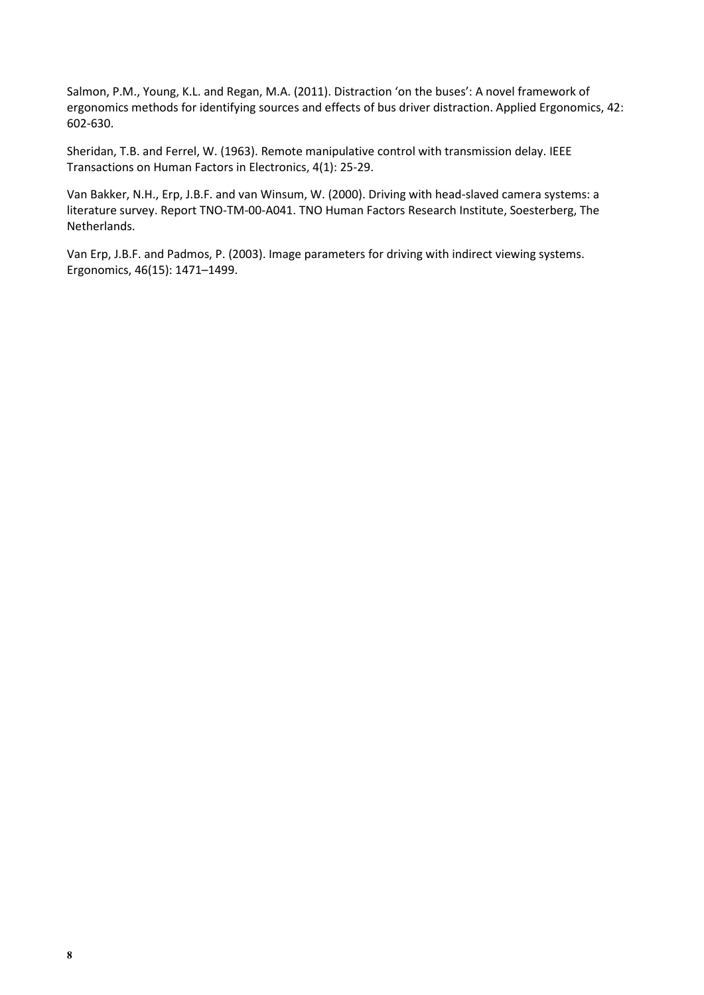Salmon, P.M., Young, K.L. and Regan, M.A. (2011). Distraction 'on the buses': A novel framework of ergonomics methods for identifying sources and effects of bus driver distraction. Applied Ergonomics, 42: 602-630.

Sheridan, T.B. and Ferrel, W. (1963). Remote manipulative control with transmission delay. IEEE Transactions on Human Factors in Electronics, 4(1): 25-29.

Van Bakker, N.H., Erp, J.B.F. and van Winsum, W. (2000). Driving with head-slaved camera systems: a literature survey. Report TNO-TM-00-A041. TNO Human Factors Research Institute, Soesterberg, The Netherlands.

Van Erp, J.B.F. and Padmos, P. (2003). Image parameters for driving with indirect viewing systems. Ergonomics, 46(15): 1471–1499.